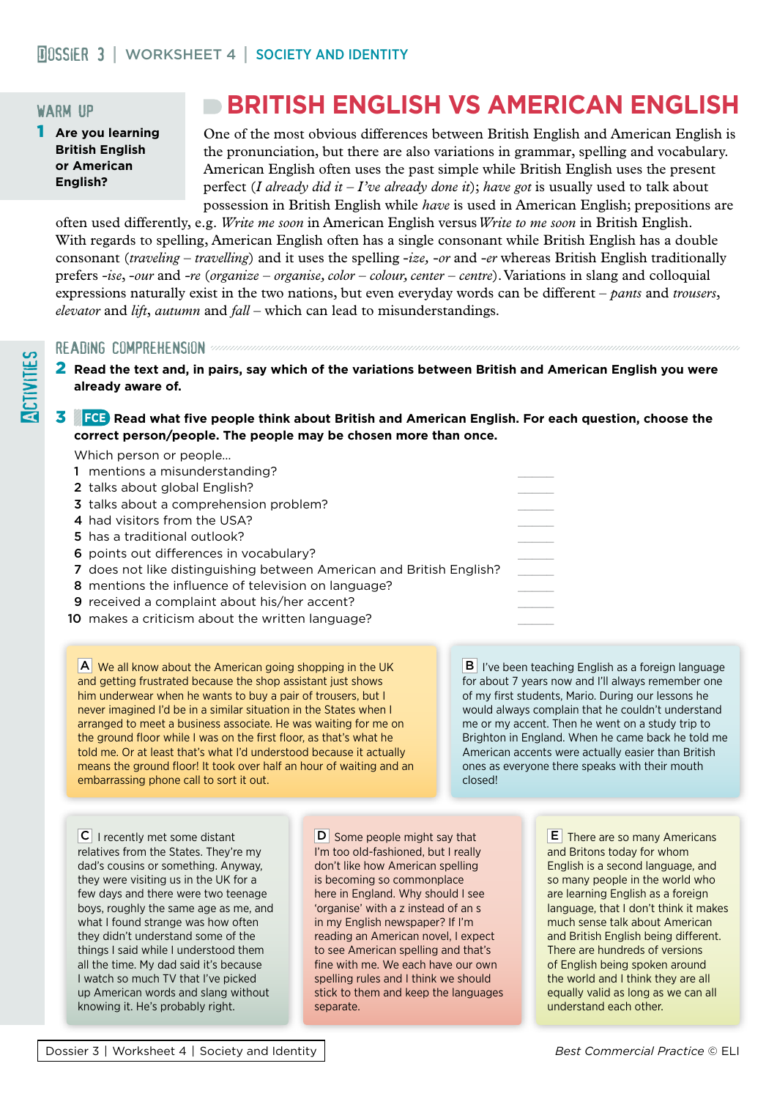# warm up

1 **Are you learning British English or American English?**

# **BRITISH ENGLISH VS AMERICAN ENGLISH**

One of the most obvious differences between British English and American English is the pronunciation, but there are also variations in grammar, spelling and vocabulary. American English often uses the past simple while British English uses the present perfect (*I already did it – I've already done it*); *have got* is usually used to talk about possession in British English while *have* is used in American English; prepositions are

often used differently, e.g. *Write me soon* in American English versus *Write to me soon* in British English. With regards to spelling, American English often has a single consonant while British English has a double consonant (*traveling – travelling*) and it uses the spelling -*ize,* -*or* and -*er* whereas British English traditionally prefers -*ise*, -*our* and *-re* (*organize – organise, color – colour, center – centre*). Variations in slang and colloquial expressions naturally exist in the two nations, but even everyday words can be different – *pants* and *trousers*, *elevator* and *lift*, *autumn* and *fall* – which can lead to misunderstandings.

Which person or people…

READING COMPREHENSION<br>
2 Read the text and, in<br>
already aware of.<br>
3 FCE Read what five 2 **Read the text and, in pairs, say which of the variations between British and American English you were already aware of.**

#### 3 **FCE Read what five people think about British and American English. For each question, choose the correct person/people. The people may be chosen more than once.**

| <b>VYTHULL DELSULL OF DEODIE</b> |                                                                      |  |
|----------------------------------|----------------------------------------------------------------------|--|
|                                  | 1 mentions a misunderstanding?                                       |  |
| 2 talks about global English?    |                                                                      |  |
|                                  | 3 talks about a comprehension problem?                               |  |
| 4 had visitors from the USA?     |                                                                      |  |
| 5 has a traditional outlook?     |                                                                      |  |
|                                  | 6 points out differences in vocabulary?                              |  |
|                                  | 7 does not like distinguishing between American and British English? |  |
|                                  | 8 mentions the influence of television on language?                  |  |
|                                  | <b>9</b> received a complaint about his/her accent?                  |  |
|                                  | 10 makes a criticism about the written language?                     |  |
|                                  |                                                                      |  |

AWe all know about the American going shopping in the UK and getting frustrated because the shop assistant just shows him underwear when he wants to buy a pair of trousers, but I never imagined I'd be in a similar situation in the States when I arranged to meet a business associate. He was waiting for me on the ground floor while I was on the first floor, as that's what he told me. Or at least that's what I'd understood because it actually means the ground floor! It took over half an hour of waiting and an embarrassing phone call to sort it out.

**B** I've been teaching English as a foreign language for about 7 years now and I'll always remember one of my first students, Mario. During our lessons he would always complain that he couldn't understand me or my accent. Then he went on a study trip to Brighton in England. When he came back he told me American accents were actually easier than British ones as everyone there speaks with their mouth closed!

CI recently met some distant relatives from the States. They're my dad's cousins or something. Anyway, they were visiting us in the UK for a few days and there were two teenage boys, roughly the same age as me, and what I found strange was how often they didn't understand some of the things I said while I understood them all the time. My dad said it's because I watch so much TV that I've picked up American words and slang without knowing it. He's probably right.

**D** Some people might say that I'm too old-fashioned, but I really don't like how American spelling is becoming so commonplace here in England. Why should I see 'organise' with a z instead of an s in my English newspaper? If I'm reading an American novel, I expect to see American spelling and that's fine with me. We each have our own spelling rules and I think we should stick to them and keep the languages separate.

**E** There are so many Americans and Britons today for whom English is a second language, and so many people in the world who are learning English as a foreign language, that I don't think it makes much sense talk about American and British English being different. There are hundreds of versions of English being spoken around the world and I think they are all equally valid as long as we can all understand each other.